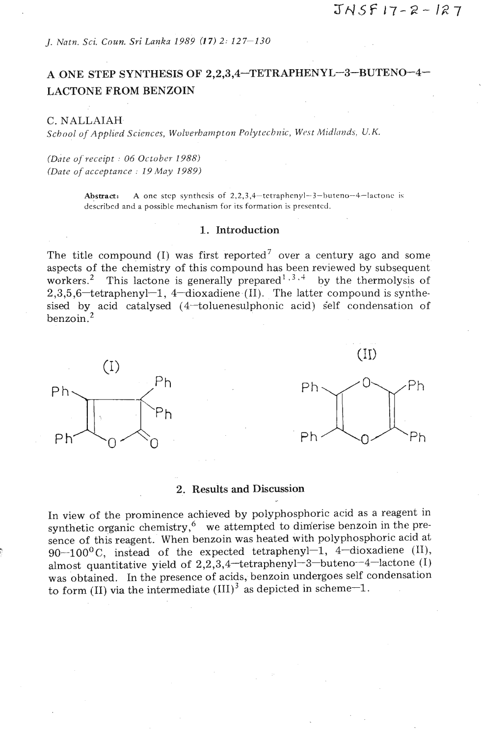*J. Natn.* Sci. *Coun. Sri Lanka 1989 (1 7) 2:* 227-130

# A ONE STEP SYNTHESIS OF **2,2,3,4-TETRAPHENYL-3-BUTENO-4-**  LACTONE FROM BENZOIN

### C. NALLAIAH

 $Scbool$  of Applied Sciences, Wolverhampton Polytechnic, West Midlands, U.K.

*(Date ofreceipt* : *06 October 1988) (Date of acceptance : 19 May 1989)* 

> **Abstract:** A one step synthesis of  $2, 2, 3, 4$ -tetraphenyl-3-buteno-4-lactone is described and a possible mechanism for its formation is prescntcd.

## 1. **Introduction**

The title compound (I) was first reported<sup>7</sup> over a century ago and some aspects of the chemistry of this compound has been reviewed by subsequent workers.<sup>2</sup> This lactone is generally prepared<sup>1,3,4</sup> by the thermolysis of  $2,3,5,6$  tetraphenyl 1, 4-dioxadiene (II). The latter compound is synthesised by acid catalysed  $(4$ -toluenesulphonic acid) self condensation of benzoin. $^2$ 





#### 2. Results and Discussion

In view of the prominence achieved by polyphosphoric acid as a reagent in synthetic organic chemistry, $6$  we attempted to dimerise benzoin in the presence of this reagent. When benzoin was heated with polyphosphoric acid at 90 $-100^0$ C, instead of the expected tetraphenyl-1, 4-dioxadiene (II), almost quantitative yield of **2,2,3,4-tetraphenyl-3-buteno--4-lactone** (I) was obtained. In the presence of acids, benzoin undergoes self condensation to form (II) via the intermediate  $(III)^3$  as depicted in scheme-1.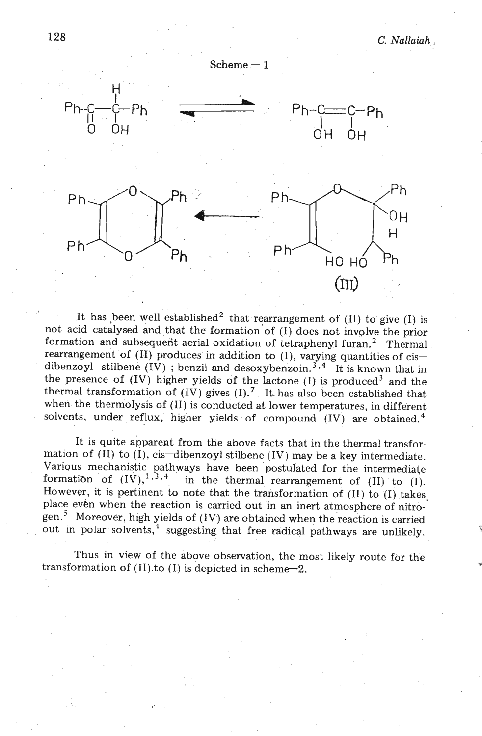

It has been well established<sup>2</sup> that rearrangement of (II) to give (I) is not acid catalysed and that the formation'of (I) does not involve the prior formation and subsequent aerial oxidation of tetraphenyl furan.<sup>2</sup> Thermal rearrangement of  $(II)$  produces in addition to  $(I)$ , varying quantities of cisdibenzoyl stilbene  $(IV)$ ; benzil and desoxybenzoin.<sup>3,4</sup> It is known that in the presence of  $(IV)$  higher yields of the lactone  $(I)$  is produced<sup>3</sup> and the thermal transformation of  $(IV)$  gives  $(I)^{7}$ . It has also been established that when the thermolysis of (11) is conducted at lower temperatures, in different solvents, under reflux, higher yields of compound  $(IV)$  are obtained.<sup>4</sup>

It is quite apparent from the above facts that in the thermal transformation of (II) to (I), cis-dibenzoyl stilbene (IV) may be a key intermediate. Various mechanistic pathways have been postulated for the intermediate formation of  $(IV)^{1,3,4}$  in the thermal rearrangement of  $(II)$  to  $(I)$ in the thermal rearrangement of  $(II)$  to  $(I)$ . However, it is pertinent to note that the transformation of (11) to (I) takes place even when the reaction is carried out in an inert atmosphere of nitrogen.' Moreover, high yields of (IV) are obtained when the reaction is carried out in polar solvents,<sup>4</sup> suggesting that free radical pathways are unlikely.

Thus in view of the above observation, the most likely route for the **<sup>v</sup>** transformation of  $(II)$  to  $(I)$  is depicted in scheme-2.

128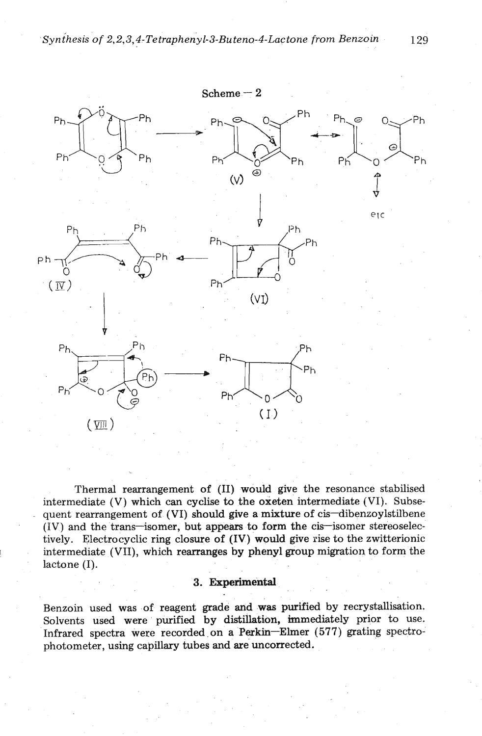

Thermal rearrangement of (11) would give the resonance stabilised intermediate  $(V)$  which can cyclise to the oxeten intermediate  $(VI)$ . Subsequent rearrangement of (VI) should give a mixture of cis-dibenzoylstilbene  $(IV)$  and the trans-isomer, but appears to form the cis-isomer stereoselectively. Electrocyclic ring closure of (IV) would give rise to the zwitterionic intermediate (VII), which rearranges by phenyl group migration to form the lactone (I).

# **3. Experimental**

Benzoin used was of reagent grade and **was** purified by recrystallisation. Solvents used were purified by distillation, immediately prior to use. Infrared spectra were recorded.on a Perkin-Elmer (577) grating spectrophotometer, using capillary tubes and are uncorrected.